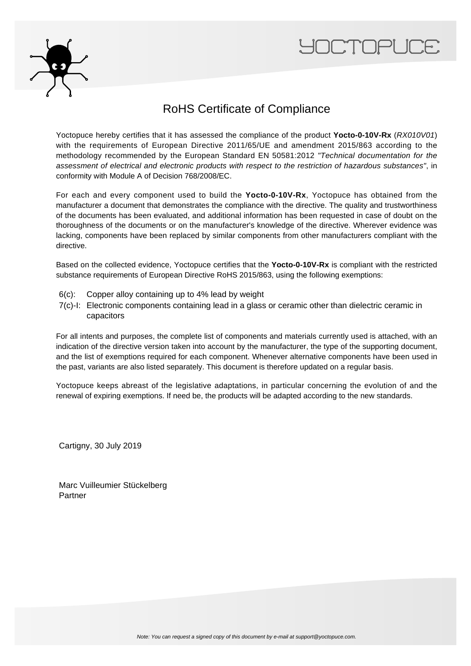



### RoHS Certificate of Compliance

Yoctopuce hereby certifies that it has assessed the compliance of the product **Yocto-0-10V-Rx** (RX010V01) with the requirements of European Directive 2011/65/UE and amendment 2015/863 according to the methodology recommended by the European Standard EN 50581:2012 "Technical documentation for the assessment of electrical and electronic products with respect to the restriction of hazardous substances", in conformity with Module A of Decision 768/2008/EC.

For each and every component used to build the **Yocto-0-10V-Rx**, Yoctopuce has obtained from the manufacturer a document that demonstrates the compliance with the directive. The quality and trustworthiness of the documents has been evaluated, and additional information has been requested in case of doubt on the thoroughness of the documents or on the manufacturer's knowledge of the directive. Wherever evidence was lacking, components have been replaced by similar components from other manufacturers compliant with the directive.

Based on the collected evidence, Yoctopuce certifies that the **Yocto-0-10V-Rx** is compliant with the restricted substance requirements of European Directive RoHS 2015/863, using the following exemptions:

- 6(c): Copper alloy containing up to 4% lead by weight
- 7(c)-I: Electronic components containing lead in a glass or ceramic other than dielectric ceramic in capacitors

For all intents and purposes, the complete list of components and materials currently used is attached, with an indication of the directive version taken into account by the manufacturer, the type of the supporting document, and the list of exemptions required for each component. Whenever alternative components have been used in the past, variants are also listed separately. This document is therefore updated on a regular basis.

Yoctopuce keeps abreast of the legislative adaptations, in particular concerning the evolution of and the renewal of expiring exemptions. If need be, the products will be adapted according to the new standards.

Cartigny, 30 July 2019

Marc Vuilleumier Stückelberg Partner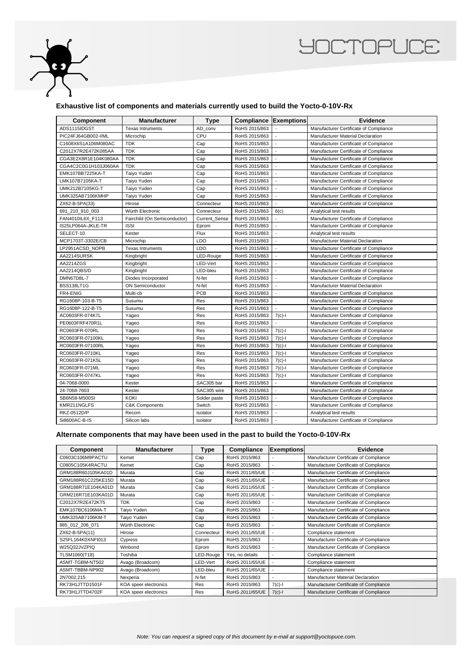

## **YOCTOPUCE**

#### **Exhaustive list of components and materials currently used to build the Yocto-0-10V-Rx**

| Component            | <b>Manufacturer</b>          | <b>Type</b>   | <b>Compliance Exemptions</b> |                          | <b>Evidence</b>                        |
|----------------------|------------------------------|---------------|------------------------------|--------------------------|----------------------------------------|
| ADS1115IDGST         | <b>Texas Intruments</b>      | AD conv       | RoHS 2015/863                |                          | Manufacturer Certificate of Compliance |
| PIC24FJ64GB002-I/ML  | Microchip                    | CPU           | RoHS 2015/863                |                          | Manufacturer Material Declaration      |
| C1608X6S1A106M080AC  | <b>TDK</b>                   | Cap           | RoHS 2015/863                | $\overline{a}$           | Manufacturer Certificate of Compliance |
| C2012X7R2E472K085AA  | <b>TDK</b>                   | Cap           | RoHS 2015/863                |                          | Manufacturer Certificate of Compliance |
| CGA3E2X8R1E104K080AA | <b>TDK</b>                   | Cap           | RoHS 2015/863                |                          | Manufacturer Certificate of Compliance |
| CGA4C2C0G1H103J060AA | <b>TDK</b>                   | Cap           | RoHS 2015/863                | $\overline{a}$           | Manufacturer Certificate of Compliance |
| EMK107BB7225KA-T     | Taiyo Yuden                  | Cap           | RoHS 2015/863                |                          | Manufacturer Certificate of Compliance |
| LMK107B7105KA-T      | Taiyo Yuden                  | Cap           | RoHS 2015/863                |                          | Manufacturer Certificate of Compliance |
| UMK212B7105KG-T      | Taiyo Yuden                  | Cap           | RoHS 2015/863                | $\overline{a}$           | Manufacturer Certificate of Compliance |
| UMK325AB7106KMHP     | Taiyo Yuden                  | Cap           | RoHS 2015/863                |                          | Manufacturer Certificate of Compliance |
| ZX62-B-5PA(33)       | Hirose                       | Connecteur    | RoHS 2015/863                | $\overline{a}$           | Manufacturer Certificate of Compliance |
| 691_210_910_003      | Würth Electronic             | Connecteur    | RoHS 2015/863                | 6(c)                     | Analytical test results                |
| FAN4010IL6X_F113     | Fairchild (On Semiconductor) | Current_Sense | RoHS 2015/863                |                          | Manufacturer Certificate of Compliance |
| IS25LP064A-JKLE-TR   | <b>ISSI</b>                  | Eprom         | RoHS 2015/863                | $\overline{a}$           | Manufacturer Certificate of Compliance |
| SELECT-10            | Kester                       | Flux          | RoHS 2015/863                |                          | Analytical test results                |
| MCP1703T-3302E/CB    | Microchip                    | LDO           | RoHS 2015/863                | $\overline{a}$           | Manufacturer Material Declaration      |
| LP2951ACSD_NOPB      | <b>Texas Intruments</b>      | <b>LDO</b>    | RoHS 2015/863                | $\overline{a}$           | Manufacturer Certificate of Compliance |
| AA2214SURSK          | Kingbright                   | LED-Rouge     | RoHS 2015/863                |                          | Manufacturer Certificate of Compliance |
| AA2214ZGS            | Kingbright                   | LED-Vert      | RoHS 2015/863                | $\overline{a}$           | Manufacturer Certificate of Compliance |
| AA2214QBS/D          | Kingbright                   | LED-bleu      | RoHS 2015/863                |                          | Manufacturer Certificate of Compliance |
| <b>DMN67D8L-7</b>    | Diodes Incorporated          | N-fet         | RoHS 2015/863                |                          | Manufacturer Certificate of Compliance |
| BSS138LT1G           | <b>ON Semiconductor</b>      | N-fet         | RoHS 2015/863                | $\overline{a}$           | Manufacturer Material Declaration      |
| FR4-ENIG             | Multi-cb                     | PCB           | RoHS 2015/863                |                          | Manufacturer Certificate of Compliance |
| RG1608P-103-B-T5     | Susumu                       | Res           | RoHS 2015/863                |                          | Manufacturer Certificate of Compliance |
| RG1608P-122-B-T5     | Susumu                       | Res           | RoHS 2015/863                | $\blacksquare$           | Manufacturer Certificate of Compliance |
| AC0603FR-074K7L      | Yageo                        | <b>Res</b>    | RoHS 2015/863                | $7(c)-1$                 | Manufacturer Certificate of Compliance |
| PE0603FRF470R1L      | Yageo                        | Res           | RoHS 2015/863                |                          | Manufacturer Certificate of Compliance |
| RC0603FR-070RL       | Yageo                        | Res           | RoHS 2015/863                | $7(c)-1$                 | Manufacturer Certificate of Compliance |
| RC0603FR-07100KL     | Yageo                        | Res           | RoHS 2015/863                | $7(c)-1$                 | Manufacturer Certificate of Compliance |
| RC0603FR-07100RL     | Yageo                        | Res           | RoHS 2015/863                | $7(c)$ -l                | Manufacturer Certificate of Compliance |
| RC0603FR-0710KL      | Yageo                        | Res           | RoHS 2015/863                | $7(c)-1$                 | Manufacturer Certificate of Compliance |
| RC0603FR-071K5L      | Yageo                        | <b>Res</b>    | RoHS 2015/863                | $7(c)-1$                 | Manufacturer Certificate of Compliance |
| RC0603FR-071ML       | Yageo                        | Res           | RoHS 2015/863                | $7(c)-1$                 | Manufacturer Certificate of Compliance |
| RC0603FR-0747KL      | Yageo                        | <b>Res</b>    | RoHS 2015/863                | $7(c)-1$                 | Manufacturer Certificate of Compliance |
| 04-7068-0000         | Kester                       | SAC305 bar    | RoHS 2015/863                | $\overline{a}$           | Manufacturer Certificate of Compliance |
| 24-7068-7603         | Kester                       | SAC305 wire   | RoHS 2015/863                | $\overline{\phantom{a}}$ | Manufacturer Certificate of Compliance |
| SB6N58-M500SI        | <b>KOKI</b>                  | Solder paste  | RoHS 2015/863                |                          | Manufacturer Certificate of Compliance |
| KMR211NGLFS          | <b>C&amp;K Components</b>    | Switch        | RoHS 2015/863                | $\overline{a}$           | Manufacturer Certificate of Compliance |
| RKZ-0512D/P          | Recom                        | isolator      | RoHS 2015/863                |                          | Analytical test results                |
| Si8600AC-B-IS        | Silicon labs                 | isolator      | RoHS 2015/863                |                          | Manufacturer Certificate of Compliance |

#### **Alternate components that may have been used in the past to build the Yocto-0-10V-Rx**

| <b>Component</b>   | <b>Manufacturer</b>   | Type       | Compliance      | <b>Exemptions</b> | <b>Evidence</b>                        |
|--------------------|-----------------------|------------|-----------------|-------------------|----------------------------------------|
| C0603C106M9PACTU   | Kemet                 | Cap        | RoHS 2015/863   |                   | Manufacturer Certificate of Compliance |
| C0805C105K4RACTU   | Kemet                 | Cap        | RoHS 2015/863   |                   | Manufacturer Certificate of Compliance |
| GRM188R60J105KA01D | Murata                | Cap        | RoHS 2011/65/UE |                   | Manufacturer Certificate of Compliance |
| GRM188R61C225KE15D | Murata                | Cap        | RoHS 2011/65/UE |                   | Manufacturer Certificate of Compliance |
| GRM188R71E104KA01D | Murata                | Cap        | RoHS 2011/65/UE |                   | Manufacturer Certificate of Compliance |
| GRM216R71E103KA01D | Murata                | Cap        | RoHS 2011/65/UE |                   | Manufacturer Certificate of Compliance |
| C2012X7R2E472KT5   | <b>TDK</b>            | Cap        | RoHS 2015/863   |                   | Manufacturer Certificate of Compliance |
| EMK107BC6106MA-T   | Taiyo Yuden           | Cap        | RoHS 2015/863   |                   | Manufacturer Certificate of Compliance |
| UMK325AB7106KM-T   | Taiyo Yuden           | Cap        | RoHS 2015/863   |                   | Manufacturer Certificate of Compliance |
| 885_012_206_071    | Würth Electronic      | Cap        | RoHS 2015/863   |                   | Manufacturer Certificate of Compliance |
| ZX62-B-5PA(11)     | Hirose                | Connecteur | RoHS 2011/65/UE |                   | Compliance statement                   |
| S25FL164K0XNFI013  | Cypress               | Eprom      | RoHS 2015/863   |                   | Manufacturer Certificate of Compliance |
| W25Q32JVZPIQ       | Winbond               | Eprom      | RoHS 2015/863   |                   | Manufacturer Certificate of Compliance |
| TLSM1060(T18)      | Toshiba               | LED-Rouge  | Yes, no details |                   | Compliance statement                   |
| ASMT-TGBM-NT502    | Avago (Broadcom)      | LED-Vert   | RoHS 2011/65/UE |                   | Compliance statement                   |
| ASMT-TBBM-NP902    | Avago (Broadcom)      | LED-bleu   | RoHS 2011/65/UE |                   | Compliance statement                   |
| 2N7002,215         | Nexperia              | N-fet      | RoHS 2015/863   |                   | Manufacturer Material Declaration      |
| RK73H1JTTD1501F    | KOA speer electronics | Res        | RoHS 2015/863   | $7(c)-1$          | Manufacturer Certificate of Compliance |
| RK73H1JTTD4702F    | KOA speer electronics | Res        | RoHS 2011/65/UE | $7(c)-1$          | Manufacturer Certificate of Compliance |